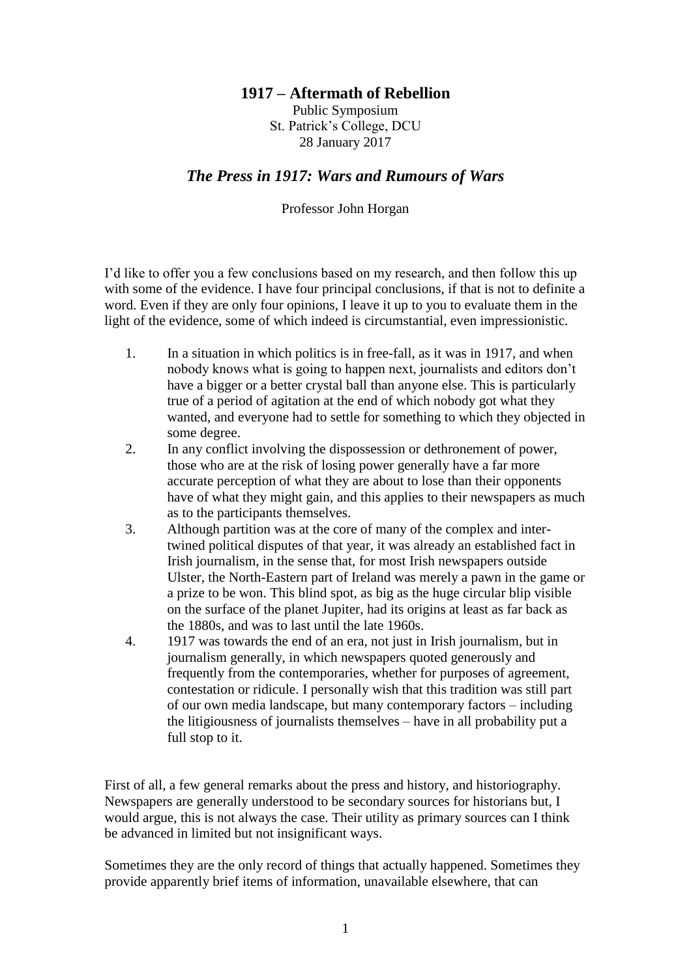## **1917 – Aftermath of Rebellion**

Public Symposium St. Patrick's College, DCU 28 January 2017

## *The Press in 1917: Wars and Rumours of Wars*

## Professor John Horgan

I'd like to offer you a few conclusions based on my research, and then follow this up with some of the evidence. I have four principal conclusions, if that is not to definite a word. Even if they are only four opinions, I leave it up to you to evaluate them in the light of the evidence, some of which indeed is circumstantial, even impressionistic.

- 1. In a situation in which politics is in free-fall, as it was in 1917, and when nobody knows what is going to happen next, journalists and editors don't have a bigger or a better crystal ball than anyone else. This is particularly true of a period of agitation at the end of which nobody got what they wanted, and everyone had to settle for something to which they objected in some degree.
- 2. In any conflict involving the dispossession or dethronement of power, those who are at the risk of losing power generally have a far more accurate perception of what they are about to lose than their opponents have of what they might gain, and this applies to their newspapers as much as to the participants themselves.
- 3. Although partition was at the core of many of the complex and intertwined political disputes of that year, it was already an established fact in Irish journalism, in the sense that, for most Irish newspapers outside Ulster, the North-Eastern part of Ireland was merely a pawn in the game or a prize to be won. This blind spot, as big as the huge circular blip visible on the surface of the planet Jupiter, had its origins at least as far back as the 1880s, and was to last until the late 1960s.
- 4. 1917 was towards the end of an era, not just in Irish journalism, but in journalism generally, in which newspapers quoted generously and frequently from the contemporaries, whether for purposes of agreement, contestation or ridicule. I personally wish that this tradition was still part of our own media landscape, but many contemporary factors – including the litigiousness of journalists themselves – have in all probability put a full stop to it.

First of all, a few general remarks about the press and history, and historiography. Newspapers are generally understood to be secondary sources for historians but, I would argue, this is not always the case. Their utility as primary sources can I think be advanced in limited but not insignificant ways.

Sometimes they are the only record of things that actually happened. Sometimes they provide apparently brief items of information, unavailable elsewhere, that can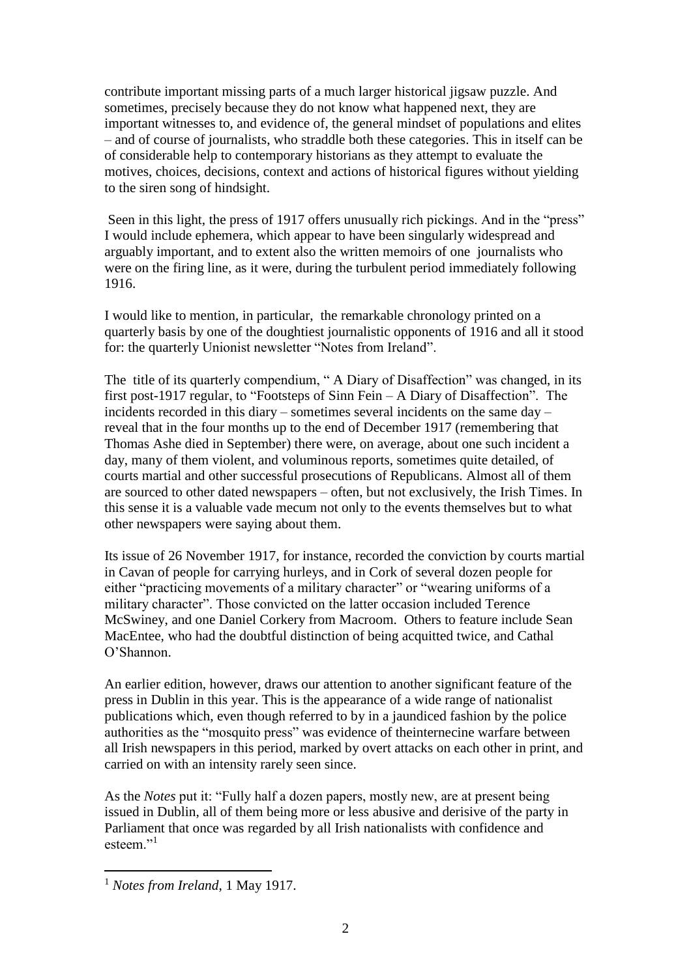contribute important missing parts of a much larger historical jigsaw puzzle. And sometimes, precisely because they do not know what happened next, they are important witnesses to, and evidence of, the general mindset of populations and elites – and of course of journalists, who straddle both these categories. This in itself can be of considerable help to contemporary historians as they attempt to evaluate the motives, choices, decisions, context and actions of historical figures without yielding to the siren song of hindsight.

Seen in this light, the press of 1917 offers unusually rich pickings. And in the "press" I would include ephemera, which appear to have been singularly widespread and arguably important, and to extent also the written memoirs of one journalists who were on the firing line, as it were, during the turbulent period immediately following 1916.

I would like to mention, in particular, the remarkable chronology printed on a quarterly basis by one of the doughtiest journalistic opponents of 1916 and all it stood for: the quarterly Unionist newsletter "Notes from Ireland".

The title of its quarterly compendium, " A Diary of Disaffection" was changed, in its first post-1917 regular, to "Footsteps of Sinn Fein – A Diary of Disaffection". The incidents recorded in this diary – sometimes several incidents on the same day – reveal that in the four months up to the end of December 1917 (remembering that Thomas Ashe died in September) there were, on average, about one such incident a day, many of them violent, and voluminous reports, sometimes quite detailed, of courts martial and other successful prosecutions of Republicans. Almost all of them are sourced to other dated newspapers – often, but not exclusively, the Irish Times. In this sense it is a valuable vade mecum not only to the events themselves but to what other newspapers were saying about them.

Its issue of 26 November 1917, for instance, recorded the conviction by courts martial in Cavan of people for carrying hurleys, and in Cork of several dozen people for either "practicing movements of a military character" or "wearing uniforms of a military character". Those convicted on the latter occasion included Terence McSwiney, and one Daniel Corkery from Macroom. Others to feature include Sean MacEntee, who had the doubtful distinction of being acquitted twice, and Cathal O'Shannon.

An earlier edition, however, draws our attention to another significant feature of the press in Dublin in this year. This is the appearance of a wide range of nationalist publications which, even though referred to by in a jaundiced fashion by the police authorities as the "mosquito press" was evidence of theinternecine warfare between all Irish newspapers in this period, marked by overt attacks on each other in print, and carried on with an intensity rarely seen since.

As the *Notes* put it: "Fully half a dozen papers, mostly new, are at present being issued in Dublin, all of them being more or less abusive and derisive of the party in Parliament that once was regarded by all Irish nationalists with confidence and esteem."<sup>1</sup>

<sup>1</sup> *Notes from Ireland*, 1 May 1917.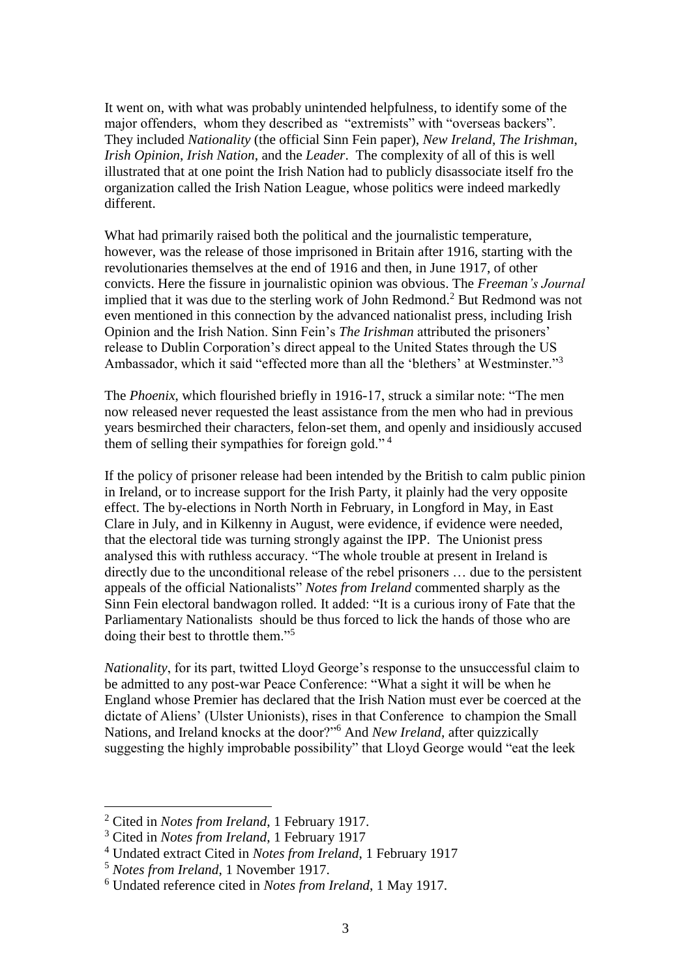It went on, with what was probably unintended helpfulness, to identify some of the major offenders, whom they described as "extremists" with "overseas backers". They included *Nationality* (the official Sinn Fein paper), *New Ireland*, *The Irishman*, *Irish Opinion*, *Irish Nation*, and the *Leader*. The complexity of all of this is well illustrated that at one point the Irish Nation had to publicly disassociate itself fro the organization called the Irish Nation League, whose politics were indeed markedly different.

What had primarily raised both the political and the journalistic temperature, however, was the release of those imprisoned in Britain after 1916, starting with the revolutionaries themselves at the end of 1916 and then, in June 1917, of other convicts. Here the fissure in journalistic opinion was obvious. The *Freeman's Journal* implied that it was due to the sterling work of John Redmond.<sup>2</sup> But Redmond was not even mentioned in this connection by the advanced nationalist press, including Irish Opinion and the Irish Nation. Sinn Fein's *The Irishman* attributed the prisoners' release to Dublin Corporation's direct appeal to the United States through the US Ambassador, which it said "effected more than all the 'blethers' at Westminster."<sup>3</sup>

The *Phoenix*, which flourished briefly in 1916-17, struck a similar note: "The men now released never requested the least assistance from the men who had in previous years besmirched their characters, felon-set them, and openly and insidiously accused them of selling their sympathies for foreign gold." <sup>4</sup>

If the policy of prisoner release had been intended by the British to calm public pinion in Ireland, or to increase support for the Irish Party, it plainly had the very opposite effect. The by-elections in North North in February, in Longford in May, in East Clare in July, and in Kilkenny in August, were evidence, if evidence were needed, that the electoral tide was turning strongly against the IPP. The Unionist press analysed this with ruthless accuracy. "The whole trouble at present in Ireland is directly due to the unconditional release of the rebel prisoners … due to the persistent appeals of the official Nationalists" *Notes from Ireland* commented sharply as the Sinn Fein electoral bandwagon rolled. It added: "It is a curious irony of Fate that the Parliamentary Nationalists should be thus forced to lick the hands of those who are doing their best to throttle them."<sup>5</sup>

*Nationality*, for its part, twitted Lloyd George's response to the unsuccessful claim to be admitted to any post-war Peace Conference: "What a sight it will be when he England whose Premier has declared that the Irish Nation must ever be coerced at the dictate of Aliens' (Ulster Unionists), rises in that Conference to champion the Small Nations, and Ireland knocks at the door?"<sup>6</sup> And *New Ireland*, after quizzically suggesting the highly improbable possibility" that Lloyd George would "eat the leek

<sup>2</sup> Cited in *Notes from Ireland*, 1 February 1917.

<sup>3</sup> Cited in *Notes from Ireland*, 1 February 1917

<sup>4</sup> Undated extract Cited in *Notes from Ireland*, 1 February 1917

<sup>5</sup> *Notes from Ireland*, 1 November 1917.

<sup>6</sup> Undated reference cited in *Notes from Ireland*, 1 May 1917.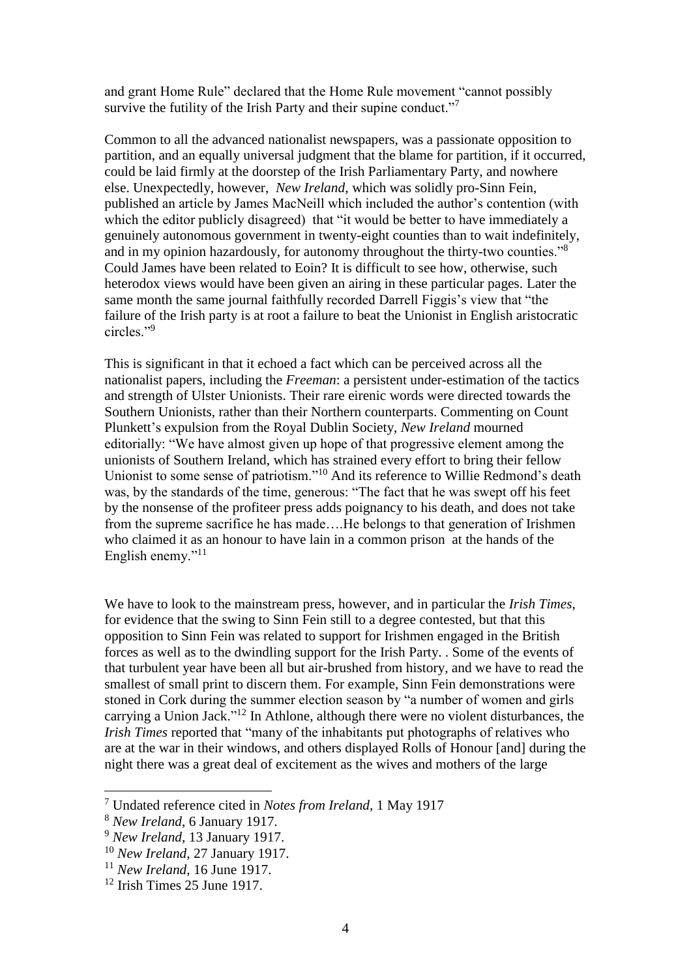and grant Home Rule" declared that the Home Rule movement "cannot possibly survive the futility of the Irish Party and their supine conduct."<sup>7</sup>

Common to all the advanced nationalist newspapers, was a passionate opposition to partition, and an equally universal judgment that the blame for partition, if it occurred, could be laid firmly at the doorstep of the Irish Parliamentary Party, and nowhere else. Unexpectedly, however, *New Ireland*, which was solidly pro-Sinn Fein, published an article by James MacNeill which included the author's contention (with which the editor publicly disagreed) that "it would be better to have immediately a genuinely autonomous government in twenty-eight counties than to wait indefinitely, and in my opinion hazardously, for autonomy throughout the thirty-two counties."<sup>8</sup> Could James have been related to Eoin? It is difficult to see how, otherwise, such heterodox views would have been given an airing in these particular pages. Later the same month the same journal faithfully recorded Darrell Figgis's view that "the failure of the Irish party is at root a failure to beat the Unionist in English aristocratic circles."<sup>9</sup>

This is significant in that it echoed a fact which can be perceived across all the nationalist papers, including the *Freeman*: a persistent under-estimation of the tactics and strength of Ulster Unionists. Their rare eirenic words were directed towards the Southern Unionists, rather than their Northern counterparts. Commenting on Count Plunkett's expulsion from the Royal Dublin Society, *New Ireland* mourned editorially: "We have almost given up hope of that progressive element among the unionists of Southern Ireland, which has strained every effort to bring their fellow Unionist to some sense of patriotism."<sup>10</sup> And its reference to Willie Redmond's death was, by the standards of the time, generous: "The fact that he was swept off his feet by the nonsense of the profiteer press adds poignancy to his death, and does not take from the supreme sacrifice he has made….He belongs to that generation of Irishmen who claimed it as an honour to have lain in a common prison at the hands of the English enemy."<sup>11</sup>

We have to look to the mainstream press, however, and in particular the *Irish Times*, for evidence that the swing to Sinn Fein still to a degree contested, but that this opposition to Sinn Fein was related to support for Irishmen engaged in the British forces as well as to the dwindling support for the Irish Party. . Some of the events of that turbulent year have been all but air-brushed from history, and we have to read the smallest of small print to discern them. For example, Sinn Fein demonstrations were stoned in Cork during the summer election season by "a number of women and girls carrying a Union Jack."<sup>12</sup> In Athlone, although there were no violent disturbances, the *Irish Times* reported that "many of the inhabitants put photographs of relatives who are at the war in their windows, and others displayed Rolls of Honour [and] during the night there was a great deal of excitement as the wives and mothers of the large

<sup>7</sup> Undated reference cited in *Notes from Ireland*, 1 May 1917

<sup>8</sup> *New Ireland*, 6 January 1917.

<sup>9</sup> *New Ireland*, 13 January 1917.

<sup>10</sup> *New Ireland*, 27 January 1917.

<sup>11</sup> *New Ireland*, 16 June 1917.

 $12$  Irish Times 25 June 1917.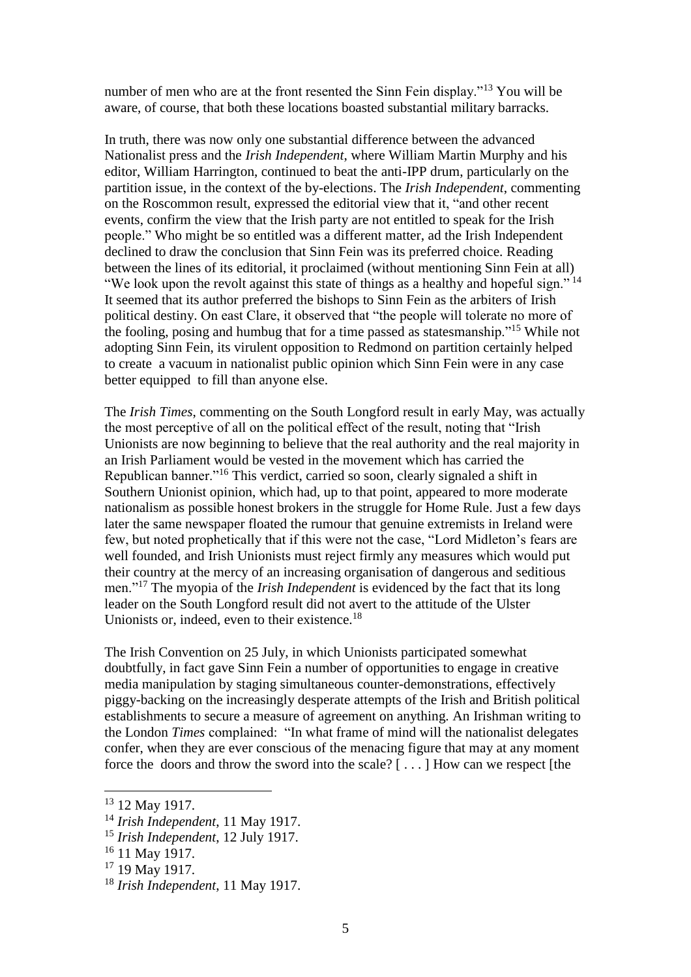number of men who are at the front resented the Sinn Fein display."<sup>13</sup> You will be aware, of course, that both these locations boasted substantial military barracks.

In truth, there was now only one substantial difference between the advanced Nationalist press and the *Irish Independent*, where William Martin Murphy and his editor, William Harrington, continued to beat the anti-IPP drum, particularly on the partition issue, in the context of the by-elections. The *Irish Independent*, commenting on the Roscommon result, expressed the editorial view that it, "and other recent events, confirm the view that the Irish party are not entitled to speak for the Irish people." Who might be so entitled was a different matter, ad the Irish Independent declined to draw the conclusion that Sinn Fein was its preferred choice. Reading between the lines of its editorial, it proclaimed (without mentioning Sinn Fein at all) "We look upon the revolt against this state of things as a healthy and hopeful sign."  $14$ It seemed that its author preferred the bishops to Sinn Fein as the arbiters of Irish political destiny. On east Clare, it observed that "the people will tolerate no more of the fooling, posing and humbug that for a time passed as statesmanship."<sup>15</sup> While not adopting Sinn Fein, its virulent opposition to Redmond on partition certainly helped to create a vacuum in nationalist public opinion which Sinn Fein were in any case better equipped to fill than anyone else.

The *Irish Times*, commenting on the South Longford result in early May, was actually the most perceptive of all on the political effect of the result, noting that "Irish Unionists are now beginning to believe that the real authority and the real majority in an Irish Parliament would be vested in the movement which has carried the Republican banner."<sup>16</sup> This verdict, carried so soon, clearly signaled a shift in Southern Unionist opinion, which had, up to that point, appeared to more moderate nationalism as possible honest brokers in the struggle for Home Rule. Just a few days later the same newspaper floated the rumour that genuine extremists in Ireland were few, but noted prophetically that if this were not the case, "Lord Midleton's fears are well founded, and Irish Unionists must reject firmly any measures which would put their country at the mercy of an increasing organisation of dangerous and seditious men."<sup>17</sup> The myopia of the *Irish Independent* is evidenced by the fact that its long leader on the South Longford result did not avert to the attitude of the Ulster Unionists or, indeed, even to their existence.<sup>18</sup>

The Irish Convention on 25 July, in which Unionists participated somewhat doubtfully, in fact gave Sinn Fein a number of opportunities to engage in creative media manipulation by staging simultaneous counter-demonstrations, effectively piggy-backing on the increasingly desperate attempts of the Irish and British political establishments to secure a measure of agreement on anything. An Irishman writing to the London *Times* complained: "In what frame of mind will the nationalist delegates confer, when they are ever conscious of the menacing figure that may at any moment force the doors and throw the sword into the scale? [ . . . ] How can we respect [the

<sup>13</sup> 12 May 1917.

<sup>14</sup> *Irish Independent*, 11 May 1917.

<sup>15</sup> *Irish Independent*, 12 July 1917.

<sup>&</sup>lt;sup>16</sup> 11 May 1917.

<sup>17</sup> 19 May 1917.

<sup>18</sup> *Irish Independent*, 11 May 1917.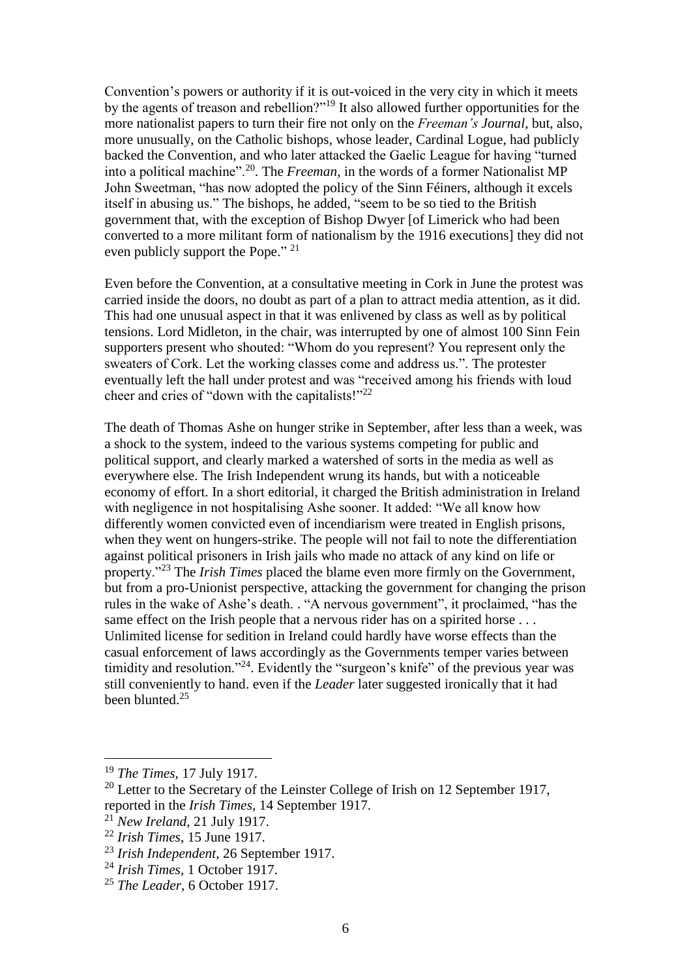Convention's powers or authority if it is out-voiced in the very city in which it meets by the agents of treason and rebellion?"<sup>19</sup> It also allowed further opportunities for the more nationalist papers to turn their fire not only on the *Freeman's Journal*, but, also, more unusually, on the Catholic bishops, whose leader, Cardinal Logue, had publicly backed the Convention, and who later attacked the Gaelic League for having "turned into a political machine".<sup>20</sup>. The *Freeman*, in the words of a former Nationalist MP John Sweetman, "has now adopted the policy of the Sinn Féiners, although it excels itself in abusing us." The bishops, he added, "seem to be so tied to the British government that, with the exception of Bishop Dwyer [of Limerick who had been converted to a more militant form of nationalism by the 1916 executions] they did not even publicly support the Pope." <sup>21</sup>

Even before the Convention, at a consultative meeting in Cork in June the protest was carried inside the doors, no doubt as part of a plan to attract media attention, as it did. This had one unusual aspect in that it was enlivened by class as well as by political tensions. Lord Midleton, in the chair, was interrupted by one of almost 100 Sinn Fein supporters present who shouted: "Whom do you represent? You represent only the sweaters of Cork. Let the working classes come and address us.". The protester eventually left the hall under protest and was "received among his friends with loud cheer and cries of "down with the capitalists!"<sup>22</sup>

The death of Thomas Ashe on hunger strike in September, after less than a week, was a shock to the system, indeed to the various systems competing for public and political support, and clearly marked a watershed of sorts in the media as well as everywhere else. The Irish Independent wrung its hands, but with a noticeable economy of effort. In a short editorial, it charged the British administration in Ireland with negligence in not hospitalising Ashe sooner. It added: "We all know how differently women convicted even of incendiarism were treated in English prisons, when they went on hungers-strike. The people will not fail to note the differentiation against political prisoners in Irish jails who made no attack of any kind on life or property."<sup>23</sup> The *Irish Times* placed the blame even more firmly on the Government, but from a pro-Unionist perspective, attacking the government for changing the prison rules in the wake of Ashe's death. . "A nervous government", it proclaimed, "has the same effect on the Irish people that a nervous rider has on a spirited horse ... Unlimited license for sedition in Ireland could hardly have worse effects than the casual enforcement of laws accordingly as the Governments temper varies between timidity and resolution."<sup>24</sup>. Evidently the "surgeon's knife" of the previous year was still conveniently to hand. even if the *Leader* later suggested ironically that it had been blunted.<sup>25</sup>

<sup>19</sup> *The Times*, 17 July 1917.

 $20$  Letter to the Secretary of the Leinster College of Irish on 12 September 1917, reported in the *Irish Times*, 14 September 1917.

<sup>21</sup> *New Ireland*, 21 July 1917.

<sup>22</sup> *Irish Times*, 15 June 1917.

<sup>23</sup> *Irish Independent*, 26 September 1917.

<sup>24</sup> *Irish Times*, 1 October 1917.

<sup>25</sup> *The Leader*, 6 October 1917.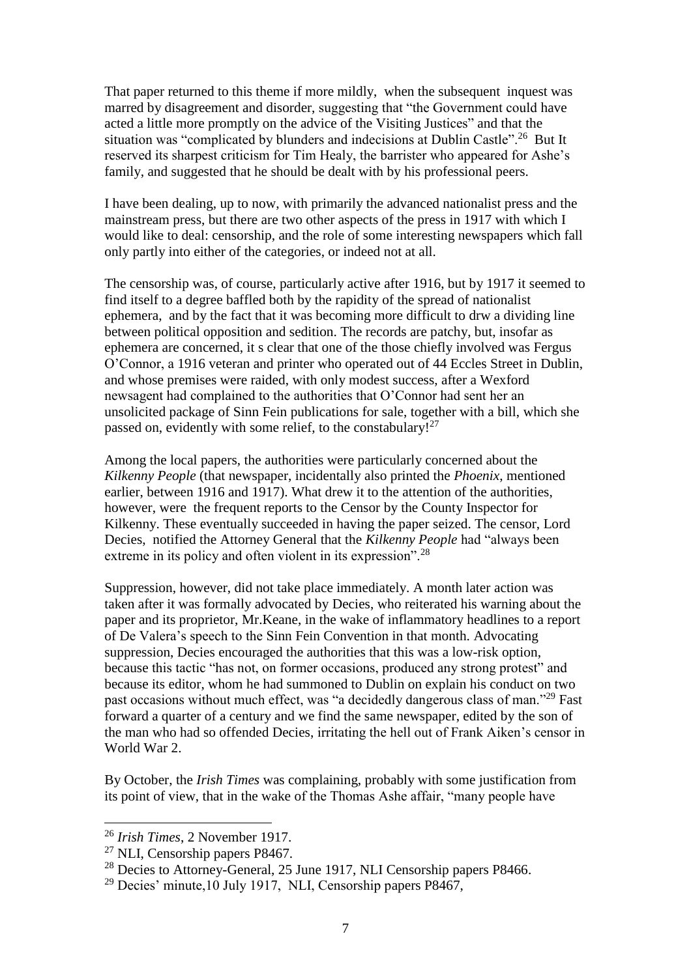That paper returned to this theme if more mildly, when the subsequent inquest was marred by disagreement and disorder, suggesting that "the Government could have acted a little more promptly on the advice of the Visiting Justices" and that the situation was "complicated by blunders and indecisions at Dublin Castle".<sup>26</sup> But It reserved its sharpest criticism for Tim Healy, the barrister who appeared for Ashe's family, and suggested that he should be dealt with by his professional peers.

I have been dealing, up to now, with primarily the advanced nationalist press and the mainstream press, but there are two other aspects of the press in 1917 with which I would like to deal: censorship, and the role of some interesting newspapers which fall only partly into either of the categories, or indeed not at all.

The censorship was, of course, particularly active after 1916, but by 1917 it seemed to find itself to a degree baffled both by the rapidity of the spread of nationalist ephemera, and by the fact that it was becoming more difficult to drw a dividing line between political opposition and sedition. The records are patchy, but, insofar as ephemera are concerned, it s clear that one of the those chiefly involved was Fergus O'Connor, a 1916 veteran and printer who operated out of 44 Eccles Street in Dublin, and whose premises were raided, with only modest success, after a Wexford newsagent had complained to the authorities that O'Connor had sent her an unsolicited package of Sinn Fein publications for sale, together with a bill, which she passed on, evidently with some relief, to the constabulary!<sup>27</sup>

Among the local papers, the authorities were particularly concerned about the *Kilkenny People* (that newspaper, incidentally also printed the *Phoenix*, mentioned earlier, between 1916 and 1917). What drew it to the attention of the authorities, however, were the frequent reports to the Censor by the County Inspector for Kilkenny. These eventually succeeded in having the paper seized. The censor, Lord Decies, notified the Attorney General that the *Kilkenny People* had "always been extreme in its policy and often violent in its expression".<sup>28</sup>

Suppression, however, did not take place immediately. A month later action was taken after it was formally advocated by Decies, who reiterated his warning about the paper and its proprietor, Mr.Keane, in the wake of inflammatory headlines to a report of De Valera's speech to the Sinn Fein Convention in that month. Advocating suppression, Decies encouraged the authorities that this was a low-risk option, because this tactic "has not, on former occasions, produced any strong protest" and because its editor, whom he had summoned to Dublin on explain his conduct on two past occasions without much effect, was "a decidedly dangerous class of man."<sup>29</sup> Fast forward a quarter of a century and we find the same newspaper, edited by the son of the man who had so offended Decies, irritating the hell out of Frank Aiken's censor in World War 2.

By October, the *Irish Times* was complaining, probably with some justification from its point of view, that in the wake of the Thomas Ashe affair, "many people have

<sup>26</sup> *Irish Times*, 2 November 1917.

<sup>&</sup>lt;sup>27</sup> NLI, Censorship papers P8467.

<sup>&</sup>lt;sup>28</sup> Decies to Attorney-General, 25 June 1917, NLI Censorship papers P8466.

 $29$  Decies' minute, 10 July 1917, NLI, Censorship papers P8467,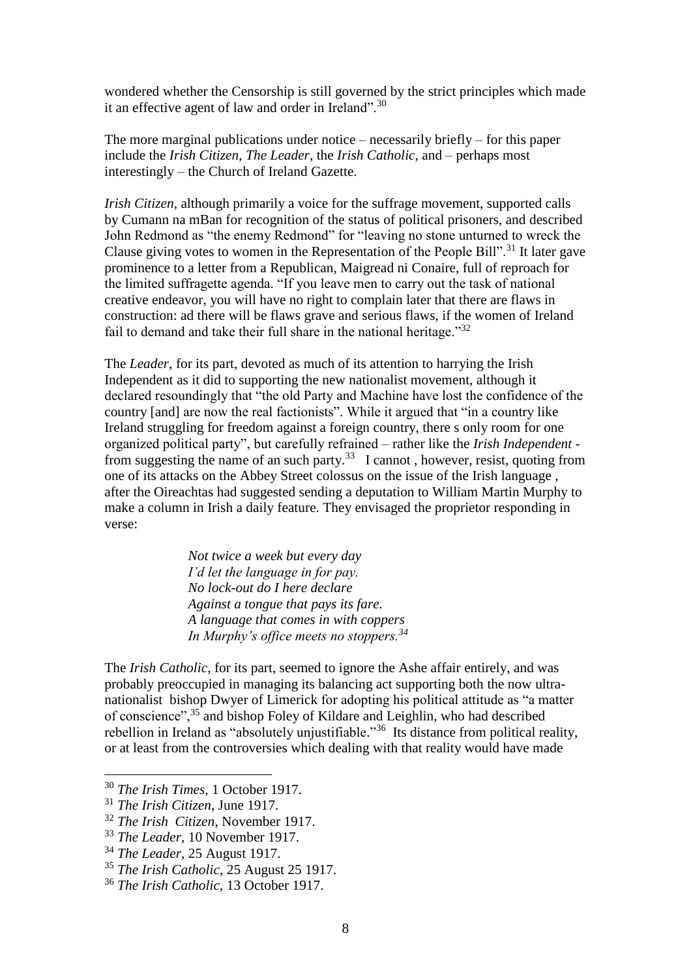wondered whether the Censorship is still governed by the strict principles which made it an effective agent of law and order in Ireland".<sup>30</sup>

The more marginal publications under notice – necessarily briefly – for this paper include the *Irish Citizen*, *The Leader*, the *Irish Catholic*, and – perhaps most interestingly – the Church of Ireland Gazette.

*Irish Citizen,* although primarily a voice for the suffrage movement, supported calls by Cumann na mBan for recognition of the status of political prisoners, and described John Redmond as "the enemy Redmond" for "leaving no stone unturned to wreck the Clause giving votes to women in the Representation of the People Bill".<sup>31</sup> It later gave prominence to a letter from a Republican, Maigread ni Conaire, full of reproach for the limited suffragette agenda. "If you leave men to carry out the task of national creative endeavor, you will have no right to complain later that there are flaws in construction: ad there will be flaws grave and serious flaws, if the women of Ireland fail to demand and take their full share in the national heritage."<sup>32</sup>

The *Leader*, for its part, devoted as much of its attention to harrying the Irish Independent as it did to supporting the new nationalist movement, although it declared resoundingly that "the old Party and Machine have lost the confidence of the country [and] are now the real factionists". While it argued that "in a country like Ireland struggling for freedom against a foreign country, there s only room for one organized political party", but carefully refrained – rather like the *Irish Independent* from suggesting the name of an such party.<sup>33</sup> I cannot, however, resist, quoting from one of its attacks on the Abbey Street colossus on the issue of the Irish language , after the Oireachtas had suggested sending a deputation to William Martin Murphy to make a column in Irish a daily feature. They envisaged the proprietor responding in verse:

> *Not twice a week but every day I'd let the language in for pay. No lock-out do I here declare Against a tongue that pays its fare. A language that comes in with coppers In Murphy's office meets no stoppers.<sup>34</sup>*

The *Irish Catholic*, for its part, seemed to ignore the Ashe affair entirely, and was probably preoccupied in managing its balancing act supporting both the now ultranationalist bishop Dwyer of Limerick for adopting his political attitude as "a matter of conscience",<sup>35</sup> and bishop Foley of Kildare and Leighlin, who had described rebellion in Ireland as "absolutely unjustifiable."<sup>36</sup> Its distance from political reality, or at least from the controversies which dealing with that reality would have made

<sup>30</sup> *The Irish Times*, 1 October 1917.

<sup>31</sup> *The Irish Citizen*, June 1917.

<sup>32</sup> *The Irish Citizen*, November 1917.

<sup>33</sup> *The Leader*, 10 November 1917.

<sup>34</sup> *The Leader*, 25 August 1917.

<sup>35</sup> *The Irish Catholic*, 25 August 25 1917.

<sup>36</sup> *The Irish Catholic*, 13 October 1917.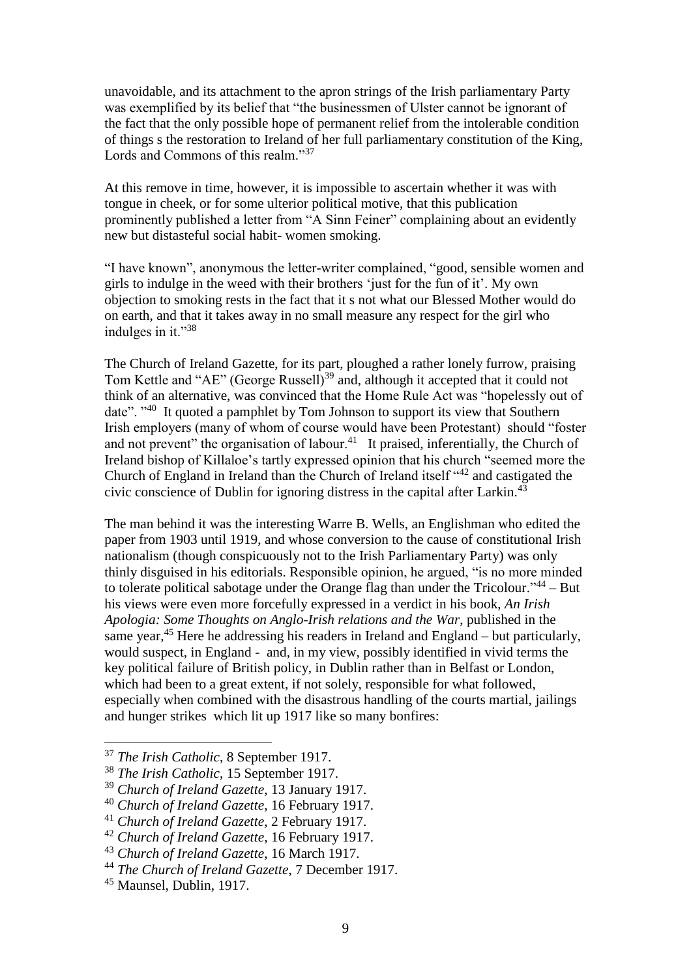unavoidable, and its attachment to the apron strings of the Irish parliamentary Party was exemplified by its belief that "the businessmen of Ulster cannot be ignorant of the fact that the only possible hope of permanent relief from the intolerable condition of things s the restoration to Ireland of her full parliamentary constitution of the King, Lords and Commons of this realm."<sup>37</sup>

At this remove in time, however, it is impossible to ascertain whether it was with tongue in cheek, or for some ulterior political motive, that this publication prominently published a letter from "A Sinn Feiner" complaining about an evidently new but distasteful social habit- women smoking.

"I have known", anonymous the letter-writer complained, "good, sensible women and girls to indulge in the weed with their brothers 'just for the fun of it'. My own objection to smoking rests in the fact that it s not what our Blessed Mother would do on earth, and that it takes away in no small measure any respect for the girl who indulges in it."<sup>38</sup>

The Church of Ireland Gazette, for its part, ploughed a rather lonely furrow, praising Tom Kettle and "AE" (George Russell)<sup>39</sup> and, although it accepted that it could not think of an alternative, was convinced that the Home Rule Act was "hopelessly out of date". "<sup>40</sup> It quoted a pamphlet by Tom Johnson to support its view that Southern Irish employers (many of whom of course would have been Protestant) should "foster and not prevent" the organisation of labour.<sup>41</sup> It praised, inferentially, the Church of Ireland bishop of Killaloe's tartly expressed opinion that his church "seemed more the Church of England in Ireland than the Church of Ireland itself "<sup>42</sup> and castigated the civic conscience of Dublin for ignoring distress in the capital after Larkin.<sup>43</sup>

The man behind it was the interesting Warre B. Wells, an Englishman who edited the paper from 1903 until 1919, and whose conversion to the cause of constitutional Irish nationalism (though conspicuously not to the Irish Parliamentary Party) was only thinly disguised in his editorials. Responsible opinion, he argued, "is no more minded to tolerate political sabotage under the Orange flag than under the Tricolour."<sup>44</sup> - But his views were even more forcefully expressed in a verdict in his book, *An Irish Apologia: Some Thoughts on Anglo-Irish relations and the War*, published in the same year,  $45$  Here he addressing his readers in Ireland and England – but particularly, would suspect, in England - and, in my view, possibly identified in vivid terms the key political failure of British policy, in Dublin rather than in Belfast or London, which had been to a great extent, if not solely, responsible for what followed, especially when combined with the disastrous handling of the courts martial, jailings and hunger strikes which lit up 1917 like so many bonfires:

<sup>37</sup> *The Irish Catholic*, 8 September 1917.

<sup>38</sup> *The Irish Catholic*, 15 September 1917.

<sup>39</sup> *Church of Ireland Gazette*, 13 January 1917.

<sup>40</sup> *Church of Ireland Gazette*, 16 February 1917.

<sup>41</sup> *Church of Ireland Gazette*, 2 February 1917.

<sup>42</sup> *Church of Ireland Gazette*, 16 February 1917.

<sup>43</sup> *Church of Ireland Gazette*, 16 March 1917.

<sup>44</sup> *The Church of Ireland Gazette*, 7 December 1917.

<sup>45</sup> Maunsel, Dublin, 1917.